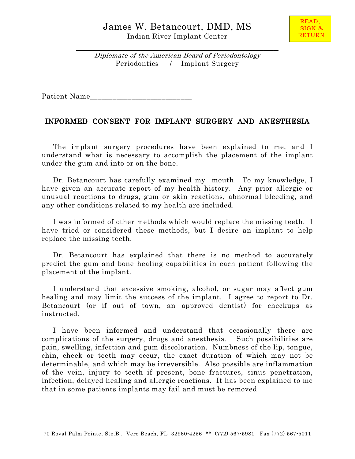

Diplomate of the American Board of Periodontology Periodontics / Implant Surgery

\_\_\_\_\_\_\_\_\_\_\_\_\_\_\_\_\_\_\_\_\_\_\_\_\_\_\_\_\_\_\_\_\_\_\_\_\_\_\_\_\_

Patient Name\_\_\_\_\_\_\_\_\_\_\_\_\_\_\_\_\_\_\_\_\_\_\_\_\_\_\_

## INFORMED CONSENT FOR IMPLANT SURGERY AND ANESTHESIA

 The implant surgery procedures have been explained to me, and I understand what is necessary to accomplish the placement of the implant under the gum and into or on the bone.

 Dr. Betancourt has carefully examined my mouth. To my knowledge, I have given an accurate report of my health history. Any prior allergic or unusual reactions to drugs, gum or skin reactions, abnormal bleeding, and any other conditions related to my health are included.

 I was informed of other methods which would replace the missing teeth. I have tried or considered these methods, but I desire an implant to help replace the missing teeth.

 Dr. Betancourt has explained that there is no method to accurately predict the gum and bone healing capabilities in each patient following the placement of the implant.

 I understand that excessive smoking, alcohol, or sugar may affect gum healing and may limit the success of the implant. I agree to report to Dr. Betancourt (or if out of town, an approved dentist) for checkups as instructed.

 I have been informed and understand that occasionally there are complications of the surgery, drugs and anesthesia. Such possibilities are pain, swelling, infection and gum discoloration. Numbness of the lip, tongue, chin, cheek or teeth may occur, the exact duration of which may not be determinable, and which may be irreversible. Also possible are inflammation of the vein, injury to teeth if present, bone fractures, sinus penetration, infection, delayed healing and allergic reactions. It has been explained to me that in some patients implants may fail and must be removed.